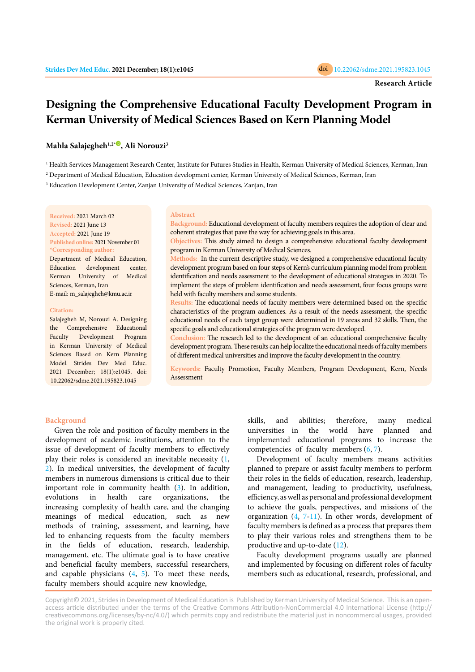# **Designing the Comprehensive Educational Faculty Development Program in Kerman University of Medical Sciences Based on Kern Planning Model**

# **Mahla Salajegheh1,2[\\*](https://orcid.org/0000-0003-0651-3467) , Ali Norouzi3**

<sup>1</sup> Health Services Management Research Center, Institute for Futures Studies in Health, Kerman University of Medical Sciences, Kerman, Iran

2 Department of Medical Education, Education development center, Kerman University of Medical Sciences, Kerman, Iran

3 Education Development Center, Zanjan University of Medical Sciences, Zanjan, Iran

**Received:** 2021 March 02 **Revised:** 2021 June 13 **Accepted:** 2021 June 19 **Published online:** 2021 November 01 **\*Corresponding author:** Department of Medical Education, Education development center, Kerman University of Medical Sciences, Kerman, Iran E-mail: m\_salajegheh@kmu.ac.ir

#### **Citation:**

Salajegheh M, Norouzi A. Designing the Comprehensive Educational Faculty Development Program in Kerman University of Medical Sciences Based on Kern Planning Model. Strides Dev Med Educ. 2021 December; 18(1):e1045. doi: 10.22062/sdme.2021.195823.1045

#### **Abstract**

**Background:** Educational development of faculty members requires the adoption of clear and coherent strategies that pave the way for achieving goals in this area.

**Objectives:** This study aimed to design a comprehensive educational faculty development program in Kerman University of Medical Sciences.

**Methods:** In the current descriptive study, we designed a comprehensive educational faculty development program based on four steps of Kern's curriculum planning model from problem identification and needs assessment to the development of educational strategies in 2020. To implement the steps of problem identification and needs assessment, four focus groups were held with faculty members and some students.

**Results:** The educational needs of faculty members were determined based on the specific characteristics of the program audiences. As a result of the needs assessment, the specific educational needs of each target group were determined in 19 areas and 32 skills. Then, the specific goals and educational strategies of the program were developed.

**Conclusion:** The research led to the development of an educational comprehensive faculty development program. These results can help localize the educational needs of faculty members of different medical universities and improve the faculty development in the country.

**Keywords:** Faculty Promotion, Faculty Members, Program Development, Kern, Needs **Assessment** 

### **Background**

Given the role and position of faculty members in the development of academic institutions, attention to the issue of development of faculty members to effectively play their roles is considered an inevitable necessity ([1](#page-5-0), [2](#page-5-0)). In medical universities, the development of faculty members in numerous dimensions is critical due to their important role in community health ([3\)](#page-5-0). In addition, evolutions in health care organizations, the increasing complexity of health care, and the changing meanings of medical education, such as new methods of training, assessment, and learning, have led to enhancing requests from the faculty members in the fields of education, research, leadership, management, etc. The ultimate goal is to have creative and beneficial faculty members, successful researchers, and capable physicians ([4,](#page-5-0) [5\)](#page-5-0). To meet these needs, faculty members should acquire new knowledge,

skills, and abilities; therefore, many medical universities in the world have planned and implemented educational programs to increase the competencies of faculty members ([6,](#page-5-0) [7\)](#page-5-0).

Development of faculty members means activities planned to prepare or assist faculty members to perform their roles in the fields of education, research, leadership, and management, leading to productivity, usefulness, efficiency, as well as personal and professional development to achieve the goals, perspectives, and missions of the organization ([4](#page-5-0), [7-11\)](#page-5-0). In other words, development of faculty members is defined as a process that prepares them to play their various roles and strengthens them to be productive and up-to-date [\(12\)](#page-5-0).

Faculty development programs usually are planned and implemented by focusing on different roles of faculty members such as educational, research, professional, and

Copyright© 2021, Strides in Development of Medical Education is Published by Kerman University of Medical Science. This is an openaccess article distributed under the terms of the Creative Commons Attribution-NonCommercial 4.0 International License (http:// creativecommons.org/licenses/by-nc/4.0/) which permits copy and redistribute the material just in noncommercial usages, provided the original work is properly cited.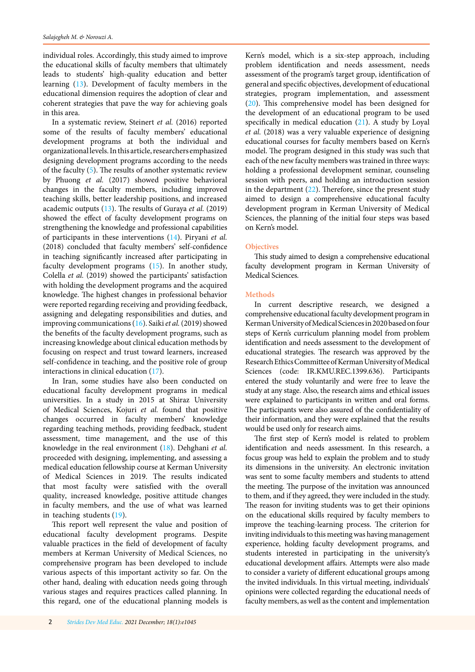individual roles. Accordingly, this study aimed to improve the educational skills of faculty members that ultimately leads to students' high-quality education and better learning [\(13\)](#page-5-0). Development of faculty members in the educational dimension requires the adoption of clear and coherent strategies that pave the way for achieving goals in this area.

In a systematic review, Steinert *et al.* (2016) reported some of the results of faculty members' educational development programs at both the individual and organizational levels. In this article, researchers emphasized designing development programs according to the needs of the faculty [\(5\)](#page-5-0). The results of another systematic review by Phuong *et al.* (2017) showed positive behavioral changes in the faculty members, including improved teaching skills, better leadership positions, and increased academic outputs [\(13\)](#page-5-0). The results of Guraya *et al.* (2019) showed the effect of faculty development programs on strengthening the knowledge and professional capabilities of participants in these interventions ([14](#page-5-0)). Piryani *et al.* (2018) concluded that faculty members' self-confidence in teaching significantly increased after participating in faculty development programs [\(15](#page-5-0)). In another study, Colella *et al.* (2019) showed the participants' satisfaction with holding the development programs and the acquired knowledge. The highest changes in professional behavior were reported regarding receiving and providing feedback, assigning and delegating responsibilities and duties, and improving communications [\(16\)](#page-5-0). Saiki *et al.* (2019) showed the benefits of the faculty development programs, such as increasing knowledge about clinical education methods by focusing on respect and trust toward learners, increased self-confidence in teaching, and the positive role of group interactions in clinical education [\(17\)](#page-5-0).

In Iran, some studies have also been conducted on educational faculty development programs in medical universities. In a study in 2015 at Shiraz University of Medical Sciences, Kojuri *et al.* found that positive changes occurred in faculty members' knowledge regarding teaching methods, providing feedback, student assessment, time management, and the use of this knowledge in the real environment ([18](#page-5-0)). Dehghani *et al.* proceeded with designing, implementing, and assessing a medical education fellowship course at Kerman University of Medical Sciences in 2019. The results indicated that most faculty were satisfied with the overall quality, increased knowledge, positive attitude changes in faculty members, and the use of what was learned in teaching students ([19\)](#page-5-0).

This report well represent the value and position of educational faculty development programs. Despite valuable practices in the field of development of faculty members at Kerman University of Medical Sciences, no comprehensive program has been developed to include various aspects of this important activity so far. On the other hand, dealing with education needs going through various stages and requires practices called planning. In this regard, one of the educational planning models is

Kern's model, which is a six-step approach, including problem identification and needs assessment, needs assessment of the program's target group, identification of general and specific objectives, development of educational strategies, program implementation, and assessment [\(20\)](#page-5-0). This comprehensive model has been designed for the development of an educational program to be used specifically in medical education  $(21)$  $(21)$  $(21)$ . A study by Loyal *et al.* (2018) was a very valuable experience of designing educational courses for faculty members based on Kern's model. The program designed in this study was such that each of the new faculty members was trained in three ways: holding a professional development seminar, counseling session with peers, and holding an introduction session in the department  $(22)$ . Therefore, since the present study aimed to design a comprehensive educational faculty development program in Kerman University of Medical Sciences, the planning of the initial four steps was based on Kern's model.

### **Objectives**

This study aimed to design a comprehensive educational faculty development program in Kerman University of Medical Sciences.

## **Methods**

In current descriptive research, we designed a comprehensive educational faculty development program in Kerman University of Medical Sciences in 2020 based on four steps of Kern's curriculum planning model from problem identification and needs assessment to the development of educational strategies. The research was approved by the Research Ethics Committee of Kerman University of Medical Sciences (code: IR.KMU.REC.1399.636). Participants entered the study voluntarily and were free to leave the study at any stage. Also, the research aims and ethical issues were explained to participants in written and oral forms. The participants were also assured of the confidentiality of their information, and they were explained that the results would be used only for research aims.

The first step of Kern's model is related to problem identification and needs assessment. In this research, a focus group was held to explain the problem and to study its dimensions in the university. An electronic invitation was sent to some faculty members and students to attend the meeting. The purpose of the invitation was announced to them, and if they agreed, they were included in the study. The reason for inviting students was to get their opinions on the educational skills required by faculty members to improve the teaching-learning process. The criterion for inviting individuals to this meeting was having management experience, holding faculty development programs, and students interested in participating in the university's educational development affairs. Attempts were also made to consider a variety of different educational groups among the invited individuals. In this virtual meeting, individuals' opinions were collected regarding the educational needs of faculty members, as well as the content and implementation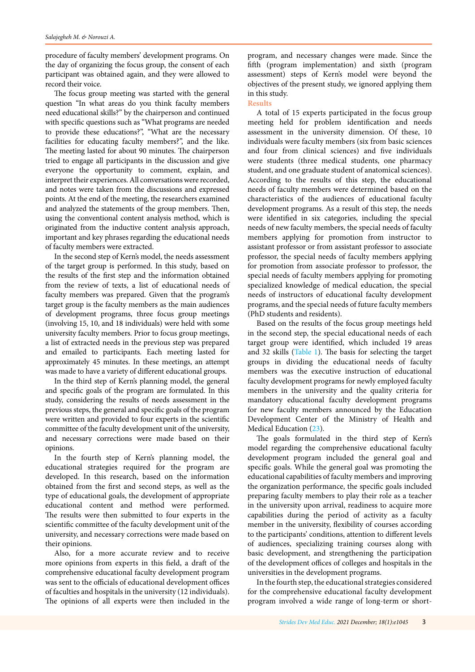procedure of faculty members' development programs. On the day of organizing the focus group, the consent of each participant was obtained again, and they were allowed to record their voice.

The focus group meeting was started with the general question "In what areas do you think faculty members need educational skills?" by the chairperson and continued with specific questions such as "What programs are needed to provide these educations?", "What are the necessary facilities for educating faculty members?", and the like. The meeting lasted for about 90 minutes. The chairperson tried to engage all participants in the discussion and give everyone the opportunity to comment, explain, and interpret their experiences. All conversations were recorded, and notes were taken from the discussions and expressed points. At the end of the meeting, the researchers examined and analyzed the statements of the group members. Then, using the conventional content analysis method, which is originated from the inductive content analysis approach, important and key phrases regarding the educational needs of faculty members were extracted.

In the second step of Kern's model, the needs assessment of the target group is performed. In this study, based on the results of the first step and the information obtained from the review of texts, a list of educational needs of faculty members was prepared. Given that the program's target group is the faculty members as the main audiences of development programs, three focus group meetings (involving 15, 10, and 18 individuals) were held with some university faculty members. Prior to focus group meetings, a list of extracted needs in the previous step was prepared and emailed to participants. Each meeting lasted for approximately 45 minutes. In these meetings, an attempt was made to have a variety of different educational groups.

In the third step of Kern's planning model, the general and specific goals of the program are formulated. In this study, considering the results of needs assessment in the previous steps, the general and specific goals of the program were written and provided to four experts in the scientific committee of the faculty development unit of the university, and necessary corrections were made based on their opinions.

In the fourth step of Kern's planning model, the educational strategies required for the program are developed. In this research, based on the information obtained from the first and second steps, as well as the type of educational goals, the development of appropriate educational content and method were performed. The results were then submitted to four experts in the scientific committee of the faculty development unit of the university, and necessary corrections were made based on their opinions.

Also, for a more accurate review and to receive more opinions from experts in this field, a draft of the comprehensive educational faculty development program was sent to the officials of educational development offices of faculties and hospitals in the university (12 individuals). The opinions of all experts were then included in the

program, and necessary changes were made. Since the fifth (program implementation) and sixth (program assessment) steps of Kern's model were beyond the objectives of the present study, we ignored applying them in this study.

### **Results**

A total of 15 experts participated in the focus group meeting held for problem identification and needs assessment in the university dimension. Of these, 10 individuals were faculty members (six from basic sciences and four from clinical sciences) and five individuals were students (three medical students, one pharmacy student, and one graduate student of anatomical sciences). According to the results of this step, the educational needs of faculty members were determined based on the characteristics of the audiences of educational faculty development programs. As a result of this step, the needs were identified in six categories, including the special needs of new faculty members, the special needs of faculty members applying for promotion from instructor to assistant professor or from assistant professor to associate professor, the special needs of faculty members applying for promotion from associate professor to professor, the special needs of faculty members applying for promoting specialized knowledge of medical education, the special needs of instructors of educational faculty development programs, and the special needs of future faculty members (PhD students and residents).

Based on the results of the focus group meetings held in the second step, the special educational needs of each target group were identified, which included 19 areas and 32 skills ([Table 1\)](#page-3-0). The basis for selecting the target groups in dividing the educational needs of faculty members was the executive instruction of educational faculty development programs for newly employed faculty members in the university and the quality criteria for mandatory educational faculty development programs for new faculty members announced by the Education Development Center of the Ministry of Health and Medical Education [\(23](#page-5-0)).

The goals formulated in the third step of Kern's model regarding the comprehensive educational faculty development program included the general goal and specific goals. While the general goal was promoting the educational capabilities of faculty members and improving the organization performance, the specific goals included preparing faculty members to play their role as a teacher in the university upon arrival, readiness to acquire more capabilities during the period of activity as a faculty member in the university, flexibility of courses according to the participants' conditions, attention to different levels of audiences, specializing training courses along with basic development, and strengthening the participation of the development offices of colleges and hospitals in the universities in the development programs.

In the fourth step, the educational strategies considered for the comprehensive educational faculty development program involved a wide range of long-term or short-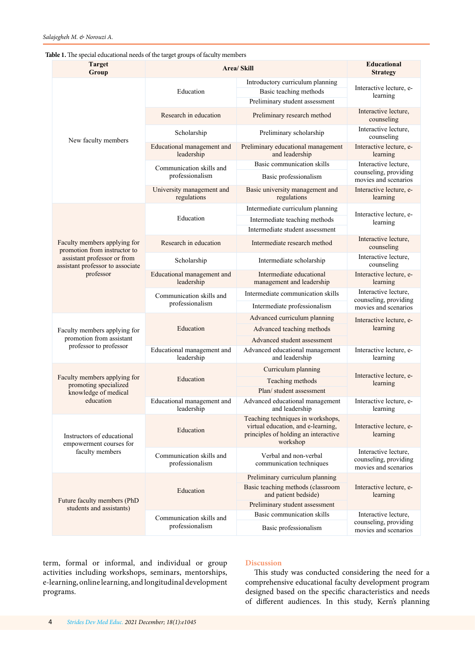### <span id="page-3-0"></span>**Table 1.** The special educational needs of the target groups of faculty members

| <b>Target</b><br>Group                                                                                                                       | <b>Area/Skill</b>                           |                                                                                                                             | <b>Educational</b><br><b>Strategy</b>                                 |
|----------------------------------------------------------------------------------------------------------------------------------------------|---------------------------------------------|-----------------------------------------------------------------------------------------------------------------------------|-----------------------------------------------------------------------|
| New faculty members                                                                                                                          | Education                                   | Introductory curriculum planning<br>Basic teaching methods<br>Preliminary student assessment                                | Interactive lecture, e-<br>learning                                   |
|                                                                                                                                              | Research in education                       | Preliminary research method                                                                                                 | Interactive lecture,<br>counseling                                    |
|                                                                                                                                              | Scholarship                                 | Preliminary scholarship                                                                                                     | Interactive lecture,<br>counseling                                    |
|                                                                                                                                              | Educational management and<br>leadership    | Preliminary educational management<br>and leadership                                                                        | Interactive lecture, e-<br>learning                                   |
|                                                                                                                                              | Communication skills and<br>professionalism | Basic communication skills                                                                                                  | Interactive lecture.<br>counseling, providing<br>movies and scenarios |
|                                                                                                                                              |                                             | Basic professionalism                                                                                                       |                                                                       |
|                                                                                                                                              | University management and<br>regulations    | Basic university management and<br>regulations                                                                              | Interactive lecture, e-<br>learning                                   |
| Faculty members applying for<br>promotion from instructor to<br>assistant professor or from<br>assistant professor to associate<br>professor | Education                                   | Intermediate curriculum planning<br>Intermediate teaching methods<br>Intermediate student assessment                        | Interactive lecture, e-<br>learning                                   |
|                                                                                                                                              | Research in education                       | Intermediate research method                                                                                                | Interactive lecture,<br>counseling                                    |
|                                                                                                                                              | Scholarship                                 | Intermediate scholarship                                                                                                    | Interactive lecture.<br>counseling                                    |
|                                                                                                                                              | Educational management and<br>leadership    | Intermediate educational<br>management and leadership                                                                       | Interactive lecture, e-<br>learning                                   |
|                                                                                                                                              | Communication skills and<br>professionalism | Intermediate communication skills                                                                                           | Interactive lecture,<br>counseling, providing<br>movies and scenarios |
|                                                                                                                                              |                                             | Intermediate professionalism                                                                                                |                                                                       |
| Faculty members applying for<br>promotion from assistant<br>professor to professor                                                           | Education                                   | Advanced curriculum planning                                                                                                | Interactive lecture, e-<br>learning                                   |
|                                                                                                                                              |                                             | Advanced teaching methods<br>Advanced student assessment                                                                    |                                                                       |
|                                                                                                                                              | Educational management and<br>leadership    | Advanced educational management<br>and leadership                                                                           | Interactive lecture, e-<br>learning                                   |
| Faculty members applying for<br>promoting specialized<br>knowledge of medical<br>education                                                   | Education                                   | Curriculum planning                                                                                                         | Interactive lecture, e-<br>learning                                   |
|                                                                                                                                              |                                             | Teaching methods                                                                                                            |                                                                       |
|                                                                                                                                              |                                             | Plan/ student assessment                                                                                                    |                                                                       |
|                                                                                                                                              | Educational management and<br>leadership    | Advanced educational management<br>and leadership                                                                           | Interactive lecture, e-<br>learning                                   |
| Instructors of educational<br>empowerment courses for<br>faculty members                                                                     | Education                                   | Teaching techniques in workshops,<br>virtual education, and e-learning,<br>principles of holding an interactive<br>workshop | Interactive lecture, e-<br>learning                                   |
|                                                                                                                                              | Communication skills and<br>professionalism | Verbal and non-verbal<br>communication techniques                                                                           | Interactive lecture,<br>counseling, providing<br>movies and scenarios |
| Future faculty members (PhD<br>students and assistants)                                                                                      | Education                                   | Preliminary curriculum planning                                                                                             | Interactive lecture, e-<br>learning                                   |
|                                                                                                                                              |                                             | Basic teaching methods (classroom<br>and patient bedside)                                                                   |                                                                       |
|                                                                                                                                              |                                             | Preliminary student assessment                                                                                              |                                                                       |
|                                                                                                                                              | Communication skills and<br>professionalism | Basic communication skills                                                                                                  | Interactive lecture,<br>counseling, providing<br>movies and scenarios |
|                                                                                                                                              |                                             | Basic professionalism                                                                                                       |                                                                       |

term, formal or informal, and individual or group activities including workshops, seminars, mentorships, e-learning, online learning, and longitudinal development programs.

# **Discussion**

This study was conducted considering the need for a comprehensive educational faculty development program designed based on the specific characteristics and needs of different audiences. In this study, Kern's planning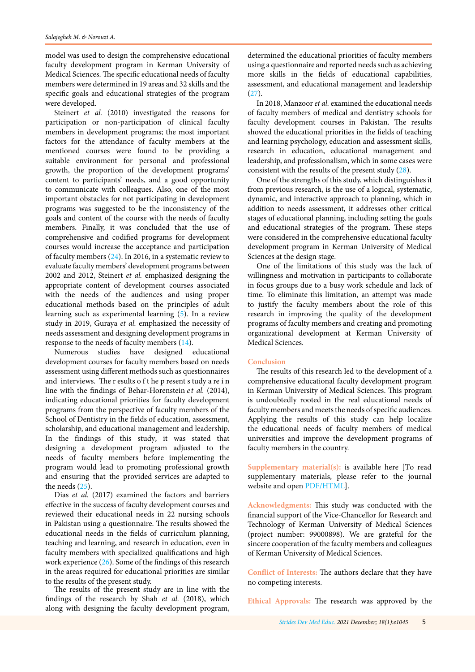model was used to design the comprehensive educational faculty development program in Kerman University of Medical Sciences. The specific educational needs of faculty members were determined in 19 areas and 32 skills and the specific goals and educational strategies of the program were developed.

Steinert *et al.* (2010) investigated the reasons for participation or non-participation of clinical faculty members in development programs; the most important factors for the attendance of faculty members at the mentioned courses were found to be providing a suitable environment for personal and professional growth, the proportion of the development programs' content to participants' needs, and a good opportunity to communicate with colleagues. Also, one of the most important obstacles for not participating in development programs was suggested to be the inconsistency of the goals and content of the course with the needs of faculty members. Finally, it was concluded that the use of comprehensive and codified programs for development courses would increase the acceptance and participation of faculty members ([24](#page-5-0)). In 2016, in a systematic review to evaluate faculty members' development programs between 2002 and 2012, Steinert *et al.* emphasized designing the appropriate content of development courses associated with the needs of the audiences and using proper educational methods based on the principles of adult learning such as experimental learning ([5](#page-5-0)). In a review study in 2019, Guraya *et al.* emphasized the necessity of needs assessment and designing development programs in response to the needs of faculty members [\(14\)](#page-5-0).

Numerous studies have designed educational development courses for faculty members based on needs assessment using different methods such as questionnaires and interviews. The r esults o f t he p resent s tudy a re i n line with the findings of Behar-Horenstein *et al.* (2014), indicating educational priorities for faculty development programs from the perspective of faculty members of the School of Dentistry in the fields of education, assessment, scholarship, and educational management and leadership. In the findings of this study, it was stated that designing a development program adjusted to the needs of faculty members before implementing the program would lead to promoting professional growth and ensuring that the provided services are adapted to the needs [\(25](#page-5-0)).

Dias *et al.* (2017) examined the factors and barriers effective in the success of faculty development courses and reviewed their educational needs in 22 nursing schools in Pakistan using a questionnaire. The results showed the educational needs in the fields of curriculum planning, teaching and learning, and research in education, even in faculty members with specialized qualifications and high work experience ([26](#page-5-0)). Some of the findings of this research in the areas required for educational priorities are similar to the results of the present study.

The results of the present study are in line with the findings of the research by Shah *et al.* (2018), which along with designing the faculty development program,

determined the educational priorities of faculty members using a questionnaire and reported needs such as achieving more skills in the fields of educational capabilities, assessment, and educational management and leadership ([27](#page-5-0)).

In 2018, Manzoor *et al.* examined the educational needs of faculty members of medical and dentistry schools for faculty development courses in Pakistan. The results showed the educational priorities in the fields of teaching and learning psychology, education and assessment skills, research in education, educational management and leadership, and professionalism, which in some cases were consistent with the results of the present study [\(28\)](#page-5-0).

One of the strengths of this study, which distinguishes it from previous research, is the use of a logical, systematic, dynamic, and interactive approach to planning, which in addition to needs assessment, it addresses other critical stages of educational planning, including setting the goals and educational strategies of the program. These steps were considered in the comprehensive educational faculty development program in Kerman University of Medical Sciences at the design stage.

One of the limitations of this study was the lack of willingness and motivation in participants to collaborate in focus groups due to a busy work schedule and lack of time. To eliminate this limitation, an attempt was made to justify the faculty members about the role of this research in improving the quality of the development programs of faculty members and creating and promoting organizational development at Kerman University of Medical Sciences.

### **Conclusion**

The results of this research led to the development of a comprehensive educational faculty development program in Kerman University of Medical Sciences. This program is undoubtedly rooted in the real educational needs of faculty members and meets the needs of specific audiences. Applying the results of this study can help localize the educational needs of faculty members of medical universities and improve the development programs of faculty members in the country.

**Supplementary material(s):** is available here [To read supplementary materials, please refer to the journal website and open [PDF/HTML](http://sdme.kmu.ac.ir/jufile?ar_sfile=814062)].

**Acknowledgments:** This study was conducted with the financial support of the Vice-Chancellor for Research and Technology of Kerman University of Medical Sciences (project number: 99000898). We are grateful for the sincere cooperation of the faculty members and colleagues of Kerman University of Medical Sciences.

**Conflict of Interests:** The authors declare that they have no competing interests.

**Ethical Approvals:** The research was approved by the